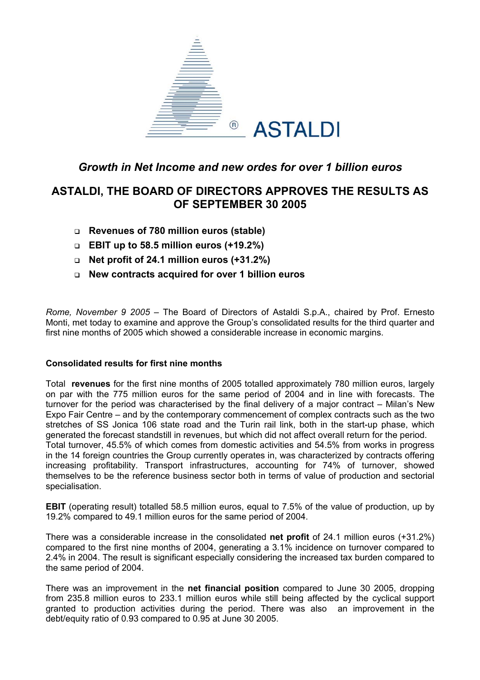

## *Growth in Net Income and new ordes for over 1 billion euros*

# **ASTALDI, THE BOARD OF DIRECTORS APPROVES THE RESULTS AS OF SEPTEMBER 30 2005**

- **Revenues of 780 million euros (stable)**
- **EBIT up to 58.5 million euros (+19.2%)**
- **Net profit of 24.1 million euros (+31.2%)**
- **New contracts acquired for over 1 billion euros**

*Rome, November 9 2005* – The Board of Directors of Astaldi S.p.A., chaired by Prof. Ernesto Monti, met today to examine and approve the Group's consolidated results for the third quarter and first nine months of 2005 which showed a considerable increase in economic margins.

### **Consolidated results for first nine months**

Total **revenues** for the first nine months of 2005 totalled approximately 780 million euros, largely on par with the 775 million euros for the same period of 2004 and in line with forecasts. The turnover for the period was characterised by the final delivery of a major contract – Milan's New Expo Fair Centre – and by the contemporary commencement of complex contracts such as the two stretches of SS Jonica 106 state road and the Turin rail link, both in the start-up phase, which generated the forecast standstill in revenues, but which did not affect overall return for the period. Total turnover, 45.5% of which comes from domestic activities and 54.5% from works in progress in the 14 foreign countries the Group currently operates in, was characterized by contracts offering increasing profitability. Transport infrastructures, accounting for 74% of turnover, showed themselves to be the reference business sector both in terms of value of production and sectorial specialisation.

**EBIT** (operating result) totalled 58.5 million euros, equal to 7.5% of the value of production, up by 19.2% compared to 49.1 million euros for the same period of 2004.

There was a considerable increase in the consolidated **net profit** of 24.1 million euros (+31.2%) compared to the first nine months of 2004, generating a 3.1% incidence on turnover compared to 2.4% in 2004. The result is significant especially considering the increased tax burden compared to the same period of 2004.

There was an improvement in the **net financial position** compared to June 30 2005, dropping from 235.8 million euros to 233.1 million euros while still being affected by the cyclical support granted to production activities during the period. There was also an improvement in the debt/equity ratio of 0.93 compared to 0.95 at June 30 2005.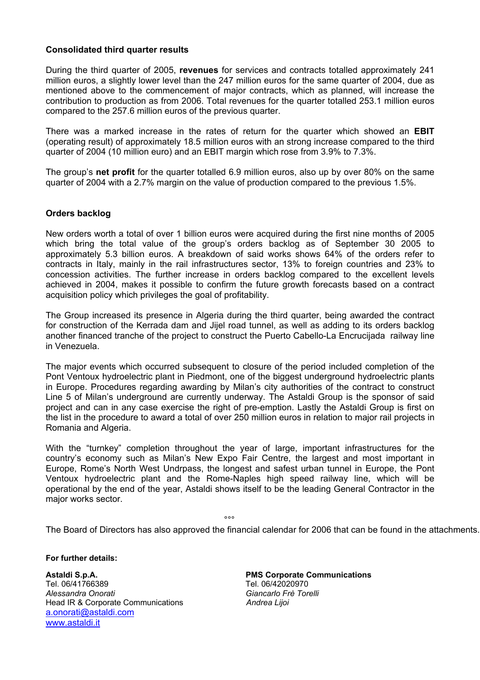### **Consolidated third quarter results**

During the third quarter of 2005, **revenues** for services and contracts totalled approximately 241 million euros, a slightly lower level than the 247 million euros for the same quarter of 2004, due as mentioned above to the commencement of major contracts, which as planned, will increase the contribution to production as from 2006. Total revenues for the quarter totalled 253.1 million euros compared to the 257.6 million euros of the previous quarter.

There was a marked increase in the rates of return for the quarter which showed an **EBIT** (operating result) of approximately 18.5 million euros with an strong increase compared to the third quarter of 2004 (10 million euro) and an EBIT margin which rose from 3.9% to 7.3%.

The group's **net profit** for the quarter totalled 6.9 million euros, also up by over 80% on the same quarter of 2004 with a 2.7% margin on the value of production compared to the previous 1.5%.

### **Orders backlog**

New orders worth a total of over 1 billion euros were acquired during the first nine months of 2005 which bring the total value of the group's orders backlog as of September 30 2005 to approximately 5.3 billion euros. A breakdown of said works shows 64% of the orders refer to contracts in Italy, mainly in the rail infrastructures sector, 13% to foreign countries and 23% to concession activities. The further increase in orders backlog compared to the excellent levels achieved in 2004, makes it possible to confirm the future growth forecasts based on a contract acquisition policy which privileges the goal of profitability.

The Group increased its presence in Algeria during the third quarter, being awarded the contract for construction of the Kerrada dam and Jijel road tunnel, as well as adding to its orders backlog another financed tranche of the project to construct the Puerto Cabello-La Encrucijada railway line in Venezuela.

The major events which occurred subsequent to closure of the period included completion of the Pont Ventoux hydroelectric plant in Piedmont, one of the biggest underground hydroelectric plants in Europe. Procedures regarding awarding by Milan's city authorities of the contract to construct Line 5 of Milan's underground are currently underway. The Astaldi Group is the sponsor of said project and can in any case exercise the right of pre-emption. Lastly the Astaldi Group is first on the list in the procedure to award a total of over 250 million euros in relation to major rail projects in Romania and Algeria.

With the "turnkey" completion throughout the year of large, important infrastructures for the country's economy such as Milan's New Expo Fair Centre, the largest and most important in Europe, Rome's North West Undrpass, the longest and safest urban tunnel in Europe, the Pont Ventoux hydroelectric plant and the Rome-Naples high speed railway line, which will be operational by the end of the year, Astaldi shows itself to be the leading General Contractor in the major works sector.

ли в области в области в области в области в области в области в области в области в области в области в облас<br>В области в области в области в области в области в области в области в области в области в области в области<br>

The Board of Directors has also approved the financial calendar for 2006 that can be found in the attachments.

**For further details:** 

**Astaldi S.p.A. PMS Corporate Communications**  Tel. 06/41766389 Tel. 06/42020970 *Alessandra Onorati Giancarlo Frè Torelli* Head IR & Corporate Communications *Andrea Lijoi*  [a.onorati@astaldi.com](mailto:a.onorati@astaldi.com) [www.astaldi.it](http://www.astaldi.it/)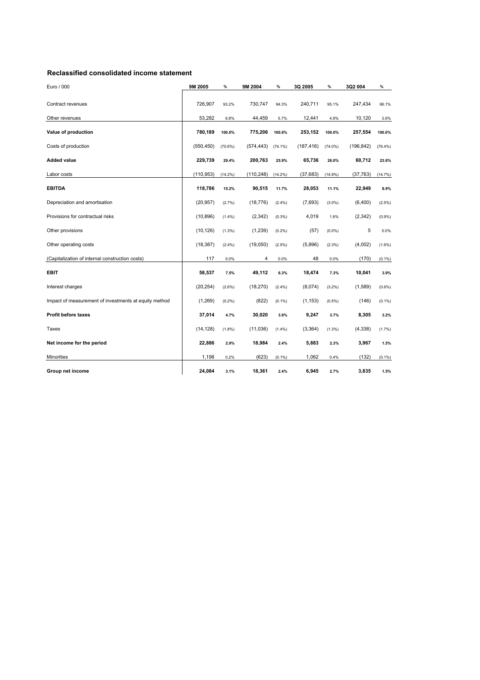#### **Reclassified consolidated income statement**

| Euro / 000                                            | 9M 2005    | $\%$       | 9M 2004        | %          | 3Q 2005    | %          | 3Q2 004    | $\%$       |
|-------------------------------------------------------|------------|------------|----------------|------------|------------|------------|------------|------------|
| Contract revenues                                     | 726.907    | 93.2%      | 730,747        | 94.3%      | 240,711    | 95.1%      | 247,434    | 96.1%      |
| Other revenues                                        | 53,282     | 6.8%       | 44,459         | 5.7%       | 12,441     | 4.9%       | 10,120     | 3.9%       |
| Value of production                                   | 780,189    | 100.0%     | 775,206        | 100.0%     | 253,152    | 100.0%     | 257,554    | 100.0%     |
| Costs of production                                   | (550, 450) | (70.6%)    | (574, 443)     | $(74.1\%)$ | (187, 416) | $(74.0\%)$ | (196, 842) | $(76.4\%)$ |
| <b>Added value</b>                                    | 229,739    | 29.4%      | 200,763        | 25.9%      | 65,736     | 26.0%      | 60,712     | 23.6%      |
| Labor costs                                           | (110, 953) | $(14.2\%)$ | (110,248)      | $(14.2\%)$ | (37, 683)  | $(14.9\%)$ | (37, 763)  | (14.7%)    |
| <b>EBITDA</b>                                         | 118,786    | 15.2%      | 90,515         | 11.7%      | 28,053     | 11.1%      | 22,949     | 8.9%       |
| Depreciation and amortisation                         | (20, 957)  | (2.7%)     | (18, 776)      | $(2.4\%)$  | (7,693)    | $(3.0\%)$  | (6,400)    | $(2.5\%)$  |
| Provisions for contractual risks                      | (10, 896)  | $(1.4\%)$  | (2,342)        | $(0.3\%)$  | 4,019      | 1.6%       | (2, 342)   | (0.9% )    |
| Other provisions                                      | (10, 126)  | (1.3%)     | (1,239)        | (0.2%)     | (57)       | $(0.0\%)$  | 5          | 0.0%       |
| Other operating costs                                 | (18, 387)  | (2.4%)     | (19,050)       | $(2.5\%)$  | (5,896)    | $(2.3\%)$  | (4,002)    | $(1.6\%)$  |
| (Capitalization of internal construction costs)       | 117        | 0.0%       | $\overline{4}$ | 0.0%       | 48         | 0.0%       | (170)      | $(0.1\%)$  |
| <b>EBIT</b>                                           | 58,537     | 7.5%       | 49,112         | 6.3%       | 18,474     | 7.3%       | 10,041     | 3.9%       |
| Interest charges                                      | (20, 254)  | (2.6%)     | (18, 270)      | $(2.4\%)$  | (8,074)    | $(3.2\%)$  | (1,589)    | $(0.6\%)$  |
| Impact of measurement of investments at equity method | (1,269)    | $(0.2\%)$  | (822)          | $(0.1\%)$  | (1, 153)   | $(0.5\%)$  | (146)      | $(0.1\%)$  |
| <b>Profit before taxes</b>                            | 37,014     | 4.7%       | 30,020         | 3.9%       | 9,247      | 3.7%       | 8,305      | 3.2%       |
| Taxes                                                 | (14, 128)  | (1.8%)     | (11,036)       | $(1.4\%)$  | (3,364)    | $(1.3\%)$  | (4, 338)   | $(1.7\%)$  |
| Net income for the period                             | 22,886     | 2.9%       | 18,984         | 2.4%       | 5,883      | 2.3%       | 3,967      | 1.5%       |
| <b>Minorities</b>                                     | 1,198      | 0.2%       | (623)          | $(0.1\%)$  | 1,062      | 0.4%       | (132)      | $(0.1\%)$  |
| Group net income                                      | 24,084     | 3.1%       | 18,361         | 2.4%       | 6,945      | 2.7%       | 3,835      | 1.5%       |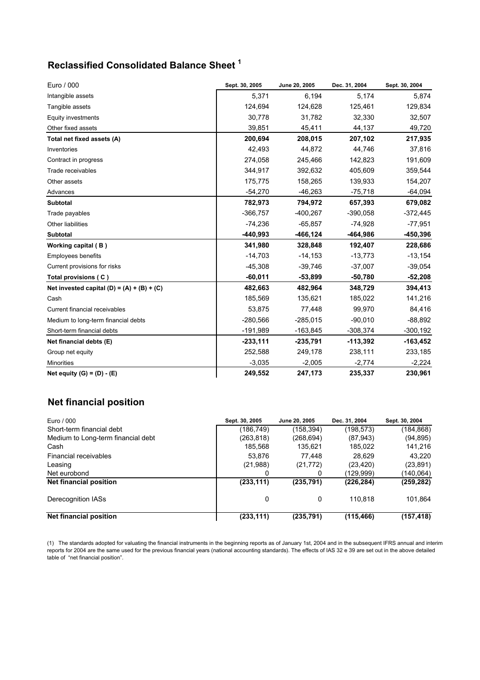# **Reclassified Consolidated Balance Sheet 1**

| Euro / 000                                   | Sept. 30, 2005 | June 20, 2005 | Dec. 31, 2004 | Sept. 30, 2004 |
|----------------------------------------------|----------------|---------------|---------------|----------------|
| Intangible assets                            | 5,371          | 6,194         | 5,174         | 5,874          |
| Tangible assets                              | 124,694        | 124,628       | 125,461       | 129,834        |
| Equity investments                           | 30.778         | 31,782        | 32,330        | 32,507         |
| Other fixed assets                           | 39,851         | 45,411        | 44,137        | 49,720         |
| Total net fixed assets (A)                   | 200,694        | 208,015       | 207,102       | 217,935        |
| Inventories                                  | 42,493         | 44,872        | 44,746        | 37,816         |
| Contract in progress                         | 274,058        | 245,466       | 142,823       | 191,609        |
| Trade receivables                            | 344,917        | 392,632       | 405,609       | 359,544        |
| Other assets                                 | 175,775        | 158,265       | 139,933       | 154,207        |
| Advances                                     | $-54,270$      | $-46,263$     | $-75,718$     | $-64,094$      |
| <b>Subtotal</b>                              | 782,973        | 794,972       | 657,393       | 679,082        |
| Trade payables                               | $-366,757$     | $-400,267$    | $-390,058$    | $-372,445$     |
| Other liabilities                            | $-74,236$      | $-65,857$     | $-74,928$     | -77,951        |
| <b>Subtotal</b>                              | -440,993       | -466,124      | -464,986      | -450,396       |
| Working capital (B)                          | 341,980        | 328,848       | 192,407       | 228,686        |
| <b>Employees benefits</b>                    | $-14,703$      | $-14,153$     | $-13,773$     | $-13,154$      |
| Current provisions for risks                 | $-45,308$      | $-39,746$     | $-37,007$     | $-39,054$      |
| Total provisions (C)                         | $-60,011$      | $-53,899$     | $-50,780$     | $-52,208$      |
| Net invested capital $(D) = (A) + (B) + (C)$ | 482,663        | 482,964       | 348,729       | 394,413        |
| Cash                                         | 185,569        | 135,621       | 185,022       | 141,216        |
| Current financial receivables                | 53,875         | 77,448        | 99,970        | 84,416         |
| Medium to long-term financial debts          | $-280,566$     | $-285.015$    | $-90,010$     | $-88,892$      |
| Short-term financial debts                   | $-191,989$     | $-163,845$    | $-308,374$    | $-300,192$     |
| Net financial debts (E)                      | $-233,111$     | $-235,791$    | $-113,392$    | $-163,452$     |
| Group net equity                             | 252,588        | 249,178       | 238,111       | 233,185        |
| <b>Minorities</b>                            | $-3,035$       | $-2,005$      | $-2,774$      | $-2,224$       |
| Net equity $(G) = (D) - (E)$                 | 249,552        | 247,173       | 235,337       | 230,961        |

### **Net financial position**

| Euro / 000                         | Sept. 30, 2005 | June 20, 2005 | Dec. 31, 2004 | Sept. 30, 2004 |
|------------------------------------|----------------|---------------|---------------|----------------|
| Short-term financial debt          | (186,749)      | (158,394)     | (198, 573)    | (184, 868)     |
| Medium to Long-term financial debt | (263, 818)     | (268, 694)    | (87, 943)     | (94, 895)      |
| Cash                               | 185,568        | 135,621       | 185,022       | 141,216        |
| Financial receivables              | 53.876         | 77.448        | 28.629        | 43.220         |
| Leasing                            | (21,988)       | (21, 772)     | (23, 420)     | (23, 891)      |
| Net eurobond                       | 0              | 0             | (129,999)     | (140,064)      |
| Net financial position             | (233, 111)     | (235, 791)    | (226, 284)    | (259, 282)     |
| Derecognition IASs                 | 0              | 0             | 110.818       | 101,864        |
| <b>Net financial position</b>      | (233, 111)     | (235, 791)    | (115, 466)    | (157, 418)     |

(1) The standards adopted for valuating the financial instruments in the beginning reports as of January 1st, 2004 and in the subsequent IFRS annual and interim reports for 2004 are the same used for the previous financial years (national accounting standards). The effects of IAS 32 e 39 are set out in the above detailed table of "net financial position".